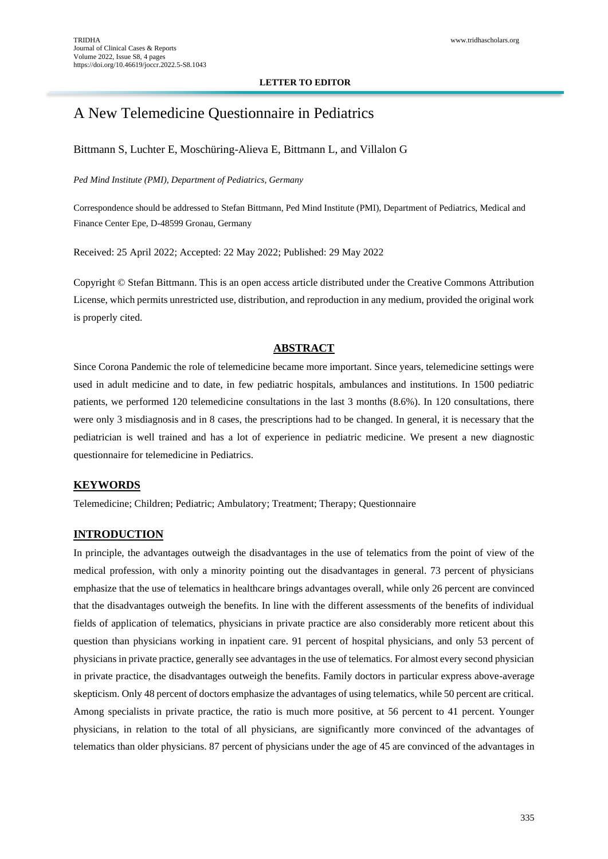#### **LETTER TO EDITOR**

# A New Telemedicine Questionnaire in Pediatrics

### Bittmann S, Luchter E, Moschüring-Alieva E, Bittmann L, and Villalon G

#### *Ped Mind Institute (PMI), Department of Pediatrics, Germany*

Correspondence should be addressed to Stefan Bittmann, Ped Mind Institute (PMI), Department of Pediatrics, Medical and Finance Center Epe, D-48599 Gronau, Germany

Received: 25 April 2022; Accepted: 22 May 2022; Published: 29 May 2022

Copyright © Stefan Bittmann. This is an open access article distributed under the Creative Commons Attribution License, which permits unrestricted use, distribution, and reproduction in any medium, provided the original work is properly cited.

#### **ABSTRACT**

Since Corona Pandemic the role of telemedicine became more important. Since years, telemedicine settings were used in adult medicine and to date, in few pediatric hospitals, ambulances and institutions. In 1500 pediatric patients, we performed 120 telemedicine consultations in the last 3 months (8.6%). In 120 consultations, there were only 3 misdiagnosis and in 8 cases, the prescriptions had to be changed. In general, it is necessary that the pediatrician is well trained and has a lot of experience in pediatric medicine. We present a new diagnostic questionnaire for telemedicine in Pediatrics.

### **KEYWORDS**

Telemedicine; Children; Pediatric; Ambulatory; Treatment; Therapy; Questionnaire

#### **INTRODUCTION**

In principle, the advantages outweigh the disadvantages in the use of telematics from the point of view of the medical profession, with only a minority pointing out the disadvantages in general. 73 percent of physicians emphasize that the use of telematics in healthcare brings advantages overall, while only 26 percent are convinced that the disadvantages outweigh the benefits. In line with the different assessments of the benefits of individual fields of application of telematics, physicians in private practice are also considerably more reticent about this question than physicians working in inpatient care. 91 percent of hospital physicians, and only 53 percent of physicians in private practice, generally see advantages in the use of telematics. For almost every second physician in private practice, the disadvantages outweigh the benefits. Family doctors in particular express above-average skepticism. Only 48 percent of doctors emphasize the advantages of using telematics, while 50 percent are critical. Among specialists in private practice, the ratio is much more positive, at 56 percent to 41 percent. Younger physicians, in relation to the total of all physicians, are significantly more convinced of the advantages of telematics than older physicians. 87 percent of physicians under the age of 45 are convinced of the advantages in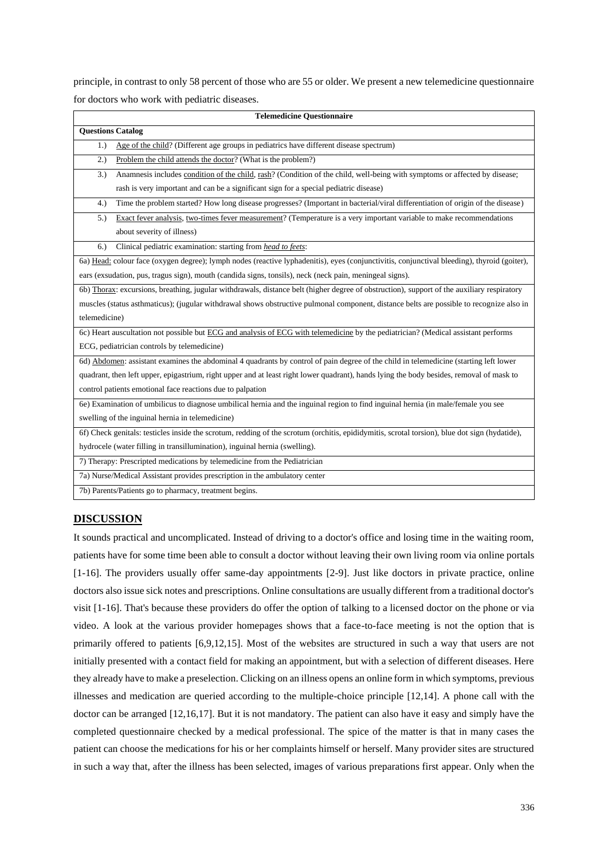principle, in contrast to only 58 percent of those who are 55 or older. We present a new telemedicine questionnaire for doctors who work with pediatric diseases.

| <b>Telemedicine Questionnaire</b>                                                                                                             |
|-----------------------------------------------------------------------------------------------------------------------------------------------|
| <b>Questions Catalog</b>                                                                                                                      |
| Age of the child? (Different age groups in pediatrics have different disease spectrum)<br>1.)                                                 |
| Problem the child attends the doctor? (What is the problem?)<br>2.)                                                                           |
| Anamnesis includes condition of the child, rash? (Condition of the child, well-being with symptoms or affected by disease;<br>3.)             |
| rash is very important and can be a significant sign for a special pediatric disease)                                                         |
| Time the problem started? How long disease progresses? (Important in bacterial/viral differentiation of origin of the disease)<br>4.)         |
| Exact fever analysis, two-times fever measurement? (Temperature is a very important variable to make recommendations<br>5.)                   |
| about severity of illness)                                                                                                                    |
| Clinical pediatric examination: starting from head to feets:<br>6.)                                                                           |
| 6a) Head: colour face (oxygen degree); lymph nodes (reactive lyphadenitis), eyes (conjunctivitis, conjunctival bleeding), thyroid (goiter),   |
| ears (exsudation, pus, tragus sign), mouth (candida signs, tonsils), neck (neck pain, meningeal signs).                                       |
| 6b) Thorax: excursions, breathing, jugular withdrawals, distance belt (higher degree of obstruction), support of the auxiliary respiratory    |
| muscles (status asthmaticus); (jugular withdrawal shows obstructive pulmonal component, distance belts are possible to recognize also in      |
| telemedicine)                                                                                                                                 |
| 6c) Heart auscultation not possible but ECG and analysis of ECG with telemedicine by the pediatrician? (Medical assistant performs            |
| ECG, pediatrician controls by telemedicine)                                                                                                   |
| 6d) Abdomen: assistant examines the abdominal 4 quadrants by control of pain degree of the child in telemedicine (starting left lower         |
| quadrant, then left upper, epigastrium, right upper and at least right lower quadrant), hands lying the body besides, removal of mask to      |
| control patients emotional face reactions due to palpation                                                                                    |
| 6e) Examination of umbilicus to diagnose umbilical hernia and the inguinal region to find inguinal hernia (in male/female you see             |
| swelling of the inguinal hernia in telemedicine)                                                                                              |
| 6f) Check genitals: testicles inside the scrotum, redding of the scrotum (orchitis, epididymitis, scrotal torsion), blue dot sign (hydatide), |
| hydrocele (water filling in transillumination), inguinal hernia (swelling).                                                                   |
| 7) Therapy: Prescripted medications by telemedicine from the Pediatrician                                                                     |
| 7a) Nurse/Medical Assistant provides prescription in the ambulatory center                                                                    |
| 7b) Parents/Patients go to pharmacy, treatment begins.                                                                                        |

## **DISCUSSION**

It sounds practical and uncomplicated. Instead of driving to a doctor's office and losing time in the waiting room, patients have for some time been able to consult a doctor without leaving their own living room via online portals [1-16]. The providers usually offer same-day appointments [2-9]. Just like doctors in private practice, online doctors also issue sick notes and prescriptions. Online consultations are usually different from a traditional doctor's visit [1-16]. That's because these providers do offer the option of talking to a licensed doctor on the phone or via video. A look at the various provider homepages shows that a face-to-face meeting is not the option that is primarily offered to patients [6,9,12,15]. Most of the websites are structured in such a way that users are not initially presented with a contact field for making an appointment, but with a selection of different diseases. Here they already have to make a preselection. Clicking on an illness opens an online form in which symptoms, previous illnesses and medication are queried according to the multiple-choice principle [12,14]. A phone call with the doctor can be arranged [12,16,17]. But it is not mandatory. The patient can also have it easy and simply have the completed questionnaire checked by a medical professional. The spice of the matter is that in many cases the patient can choose the medications for his or her complaints himself or herself. Many provider sites are structured in such a way that, after the illness has been selected, images of various preparations first appear. Only when the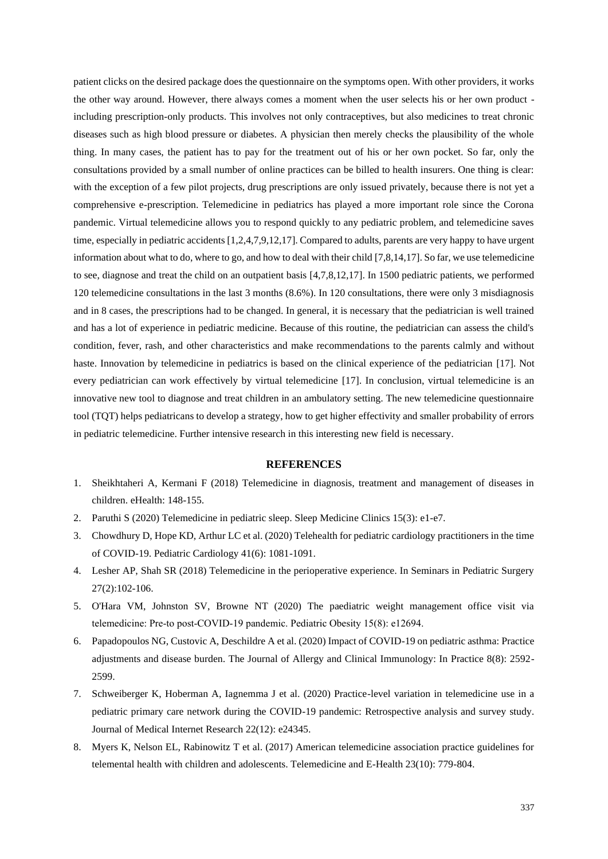patient clicks on the desired package does the questionnaire on the symptoms open. With other providers, it works the other way around. However, there always comes a moment when the user selects his or her own product including prescription-only products. This involves not only contraceptives, but also medicines to treat chronic diseases such as high blood pressure or diabetes. A physician then merely checks the plausibility of the whole thing. In many cases, the patient has to pay for the treatment out of his or her own pocket. So far, only the consultations provided by a small number of online practices can be billed to health insurers. One thing is clear: with the exception of a few pilot projects, drug prescriptions are only issued privately, because there is not yet a comprehensive e-prescription. Telemedicine in pediatrics has played a more important role since the Corona pandemic. Virtual telemedicine allows you to respond quickly to any pediatric problem, and telemedicine saves time, especially in pediatric accidents [1,2,4,7,9,12,17]. Compared to adults, parents are very happy to have urgent information about what to do, where to go, and how to deal with their child [7,8,14,17]. So far, we use telemedicine to see, diagnose and treat the child on an outpatient basis [4,7,8,12,17]. In 1500 pediatric patients, we performed 120 telemedicine consultations in the last 3 months (8.6%). In 120 consultations, there were only 3 misdiagnosis and in 8 cases, the prescriptions had to be changed. In general, it is necessary that the pediatrician is well trained and has a lot of experience in pediatric medicine. Because of this routine, the pediatrician can assess the child's condition, fever, rash, and other characteristics and make recommendations to the parents calmly and without haste. Innovation by telemedicine in pediatrics is based on the clinical experience of the pediatrician [17]. Not every pediatrician can work effectively by virtual telemedicine [17]. In conclusion, virtual telemedicine is an innovative new tool to diagnose and treat children in an ambulatory setting. The new telemedicine questionnaire tool (TQT) helps pediatricans to develop a strategy, how to get higher effectivity and smaller probability of errors in pediatric telemedicine. Further intensive research in this interesting new field is necessary.

#### **REFERENCES**

- 1. Sheikhtaheri A, Kermani [F \(2018\) Telemedicine in diagnosis, treatment and management of diseases in](https://books.google.com/books?hl=en&lr=&id=K-RhDwAAQBAJ&oi=fnd&pg=PA148&dq=Telemedicine+in+Diagnosis,+Treatment+and+Management+of+Diseases+in+Children&ots=NnILSekUJA&sig=TiJgjIaqwLFtHnqHjdqGiOk589s)  [children. eHealth: 148-155.](https://books.google.com/books?hl=en&lr=&id=K-RhDwAAQBAJ&oi=fnd&pg=PA148&dq=Telemedicine+in+Diagnosis,+Treatment+and+Management+of+Diseases+in+Children&ots=NnILSekUJA&sig=TiJgjIaqwLFtHnqHjdqGiOk589s)
- 2. [Paruthi S \(2020\) Telemedicine in pediatric sleep. Sleep Medicine Clinics 15\(3\): e1-e7.](https://www.sleep.theclinics.com/article/S1556-407X(20)30063-1/abstract)
- 3. [Chowdhury D, Hope KD, Arthur LC et al. \(2020\) Telehealth for pediatric cardiology practitioners in the time](https://link.springer.com/article/10.1007/s00246-020-02411-1)  [of COVID-19. Pediatric Cardiology 41\(6\): 1081-1091.](https://link.springer.com/article/10.1007/s00246-020-02411-1)
- 4. [Lesher AP, Shah SR \(2018\) Telemedicine in the perioperative experience. In Seminars in Pediatric Surgery](https://www.sciencedirect.com/science/article/pii/S1055858618300076)  [27\(2\):102-106.](https://www.sciencedirect.com/science/article/pii/S1055858618300076)
- 5. [O'Hara VM, Johnston SV, Browne NT \(2020\) The paediatric weight management office visit via](https://onlinelibrary.wiley.com/doi/abs/10.1111/ijpo.12694)  [telemedicine: Pre‐to post‐COVID‐19 pandemic. Pediatric Obesity 15\(8\): e12694.](https://onlinelibrary.wiley.com/doi/abs/10.1111/ijpo.12694)
- 6. [Papadopoulos NG, Custovic A, Deschildre A et al. \(2020\) Impact of COVID-19 on pediatric asthma: Practice](https://www.sciencedirect.com/science/article/pii/S2213219820305997)  [adjustments and disease burden. The Journal of Allergy and Clinical Immunology: In Practice 8\(8\): 2592-](https://www.sciencedirect.com/science/article/pii/S2213219820305997) [2599.](https://www.sciencedirect.com/science/article/pii/S2213219820305997)
- 7. [Schweiberger K, Hoberman A, Iagnemma J et al. \(2020\) Practice-level variation in telemedicine use in a](https://www.jmir.org/2020/12/e24345/)  [pediatric primary care network during the COVID-19 pandemic: Retrospective analysis and survey study.](https://www.jmir.org/2020/12/e24345/)  [Journal of Medical Internet Research 22\(12\): e24345.](https://www.jmir.org/2020/12/e24345/)
- 8. [Myers K, Nelson EL, Rabinowitz T et al. \(2017\) American telemedicine association practice guidelines for](https://www.liebertpub.com/doi/abs/10.1089/tmj.2017.0177)  [telemental health with children and adolescents. Telemedicine and E-Health 23\(10\): 779-804.](https://www.liebertpub.com/doi/abs/10.1089/tmj.2017.0177)